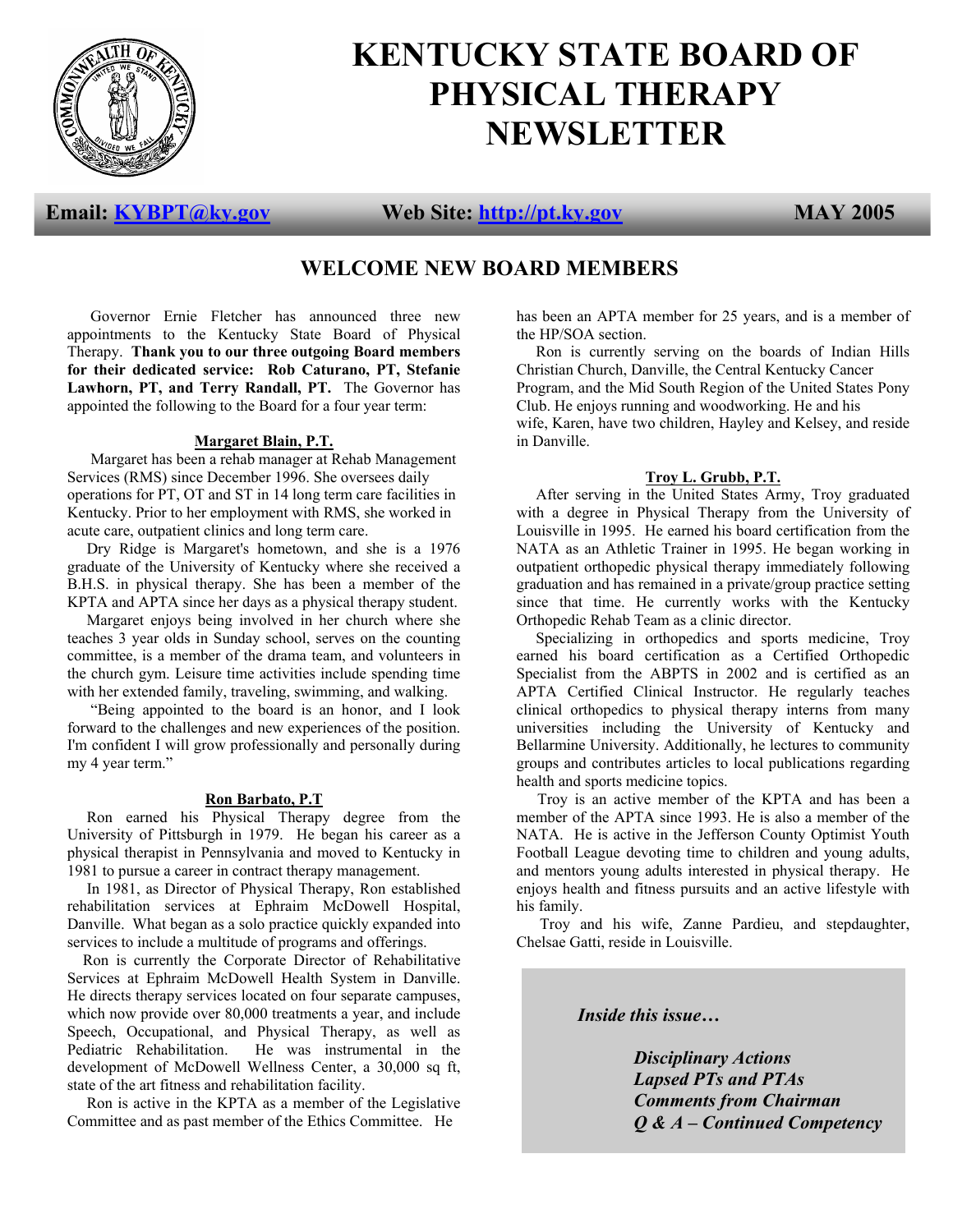

# **KENTUCKY STATE BOARD OF PHYSICAL THERAPY NEWSLETTER**

**Email: KYBPT@ky.gov Web Site: http://pt.ky.gov MAY 2005** 

# **WELCOME NEW BOARD MEMBERS**

 Governor Ernie Fletcher has announced three new appointments to the Kentucky State Board of Physical Therapy. **Thank you to our three outgoing Board members for their dedicated service: Rob Caturano, PT, Stefanie**  Lawhorn, PT, and Terry Randall, PT. The Governor has appointed the following to the Board for a four year term:

#### **Margaret Blain, P.T.**

 Margaret has been a rehab manager at Rehab Management Services (RMS) since December 1996. She oversees daily operations for PT, OT and ST in 14 long term care facilities in Kentucky. Prior to her employment with RMS, she worked in acute care, outpatient clinics and long term care.

 Dry Ridge is Margaret's hometown, and she is a 1976 graduate of the University of Kentucky where she received a B.H.S. in physical therapy. She has been a member of the KPTA and APTA since her days as a physical therapy student.

 Margaret enjoys being involved in her church where she teaches 3 year olds in Sunday school, serves on the counting committee, is a member of the drama team, and volunteers in the church gym. Leisure time activities include spending time with her extended family, traveling, swimming, and walking.

 "Being appointed to the board is an honor, and I look forward to the challenges and new experiences of the position. I'm confident I will grow professionally and personally during my 4 year term."

#### **Ron Barbato, P.T**

 Ron earned his Physical Therapy degree from the University of Pittsburgh in 1979. He began his career as a physical therapist in Pennsylvania and moved to Kentucky in 1981 to pursue a career in contract therapy management.

 In 1981, as Director of Physical Therapy, Ron established rehabilitation services at Ephraim McDowell Hospital, Danville. What began as a solo practice quickly expanded into services to include a multitude of programs and offerings.

 Ron is currently the Corporate Director of Rehabilitative Services at Ephraim McDowell Health System in Danville. He directs therapy services located on four separate campuses, which now provide over 80,000 treatments a year, and include Speech, Occupational, and Physical Therapy, as well as Pediatric Rehabilitation. He was instrumental in the development of McDowell Wellness Center, a 30,000 sq ft, state of the art fitness and rehabilitation facility.

 Ron is active in the KPTA as a member of the Legislative Committee and as past member of the Ethics Committee. He

has been an APTA member for 25 years, and is a member of the HP/SOA section.

 Ron is currently serving on the boards of Indian Hills Christian Church, Danville, the Central Kentucky Cancer Program, and the Mid South Region of the United States Pony Club. He enjoys running and woodworking. He and his wife, Karen, have two children, Hayley and Kelsey, and reside in Danville.

#### **Troy L. Grubb, P.T.**

 After serving in the United States Army, Troy graduated with a degree in Physical Therapy from the University of Louisville in 1995. He earned his board certification from the NATA as an Athletic Trainer in 1995. He began working in outpatient orthopedic physical therapy immediately following graduation and has remained in a private/group practice setting since that time. He currently works with the Kentucky Orthopedic Rehab Team as a clinic director.

 Specializing in orthopedics and sports medicine, Troy earned his board certification as a Certified Orthopedic Specialist from the ABPTS in 2002 and is certified as an APTA Certified Clinical Instructor. He regularly teaches clinical orthopedics to physical therapy interns from many universities including the University of Kentucky and Bellarmine University. Additionally, he lectures to community groups and contributes articles to local publications regarding health and sports medicine topics.

Troy is an active member of the KPTA and has been a member of the APTA since 1993. He is also a member of the NATA. He is active in the Jefferson County Optimist Youth Football League devoting time to children and young adults, and mentors young adults interested in physical therapy. He enjoys health and fitness pursuits and an active lifestyle with his family.

 Troy and his wife, Zanne Pardieu, and stepdaughter, Chelsae Gatti, reside in Louisville.

*Inside this issue…* 

 *Disciplinary Actions Lapsed PTs and PTAs Comments from Chairman Q & A – Continued Competency*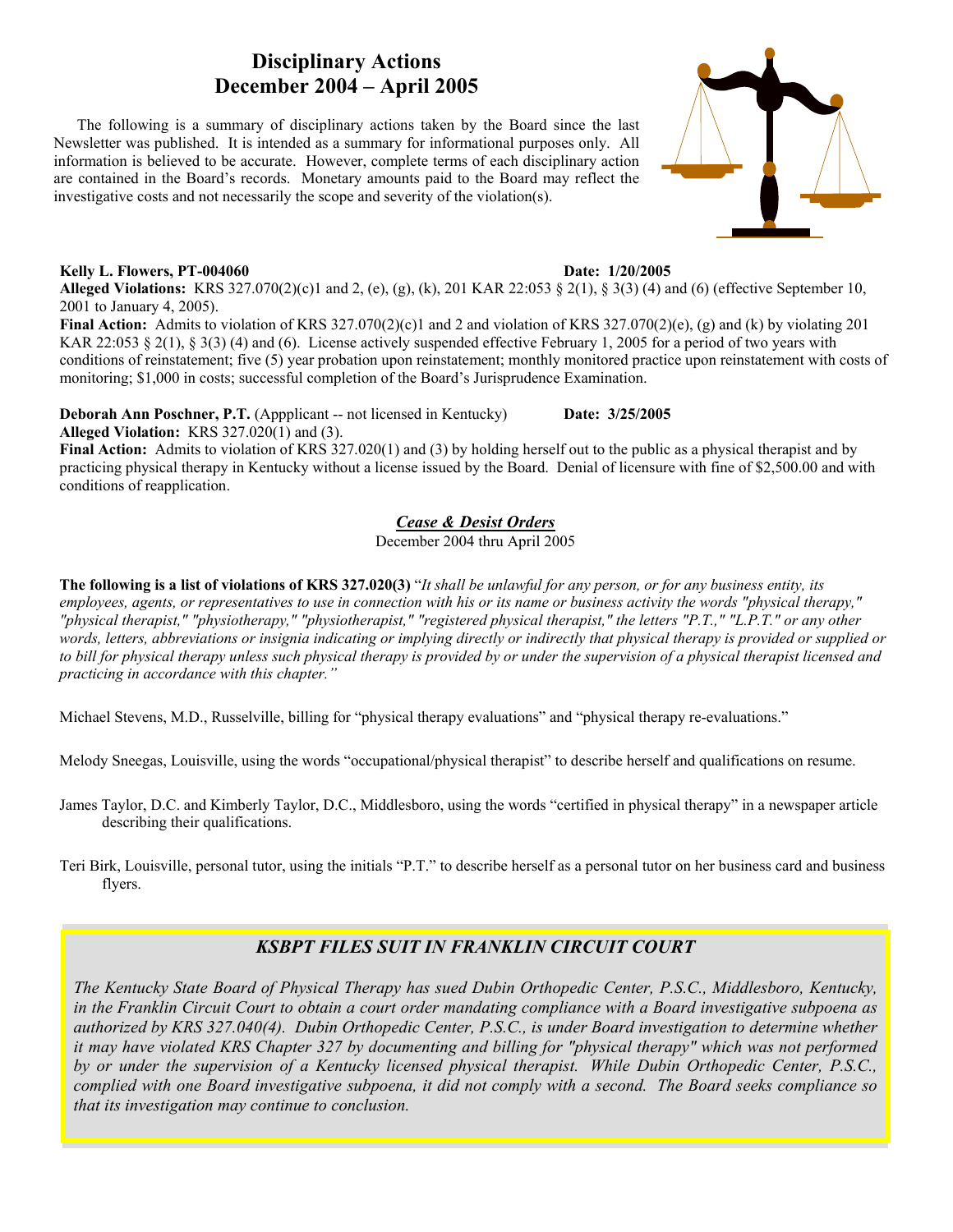# **Disciplinary Actions December 2004 – April 2005**

 The following is a summary of disciplinary actions taken by the Board since the last Newsletter was published. It is intended as a summary for informational purposes only. All information is believed to be accurate. However, complete terms of each disciplinary action are contained in the Board's records. Monetary amounts paid to the Board may reflect the investigative costs and not necessarily the scope and severity of the violation(s).

#### **Kelly L. Flowers, PT-004060 Date: 1/20/2005**

**Alleged Violations:** KRS 327.070(2)(c)1 and 2, (e), (g), (k), 201 KAR 22:053 § 2(1), § 3(3) (4) and (6) (effective September 10, 2001 to January 4, 2005).

**Final Action:** Admits to violation of KRS 327.070(2)(c)1 and 2 and violation of KRS 327.070(2)(e), (g) and (k) by violating 201 KAR 22:053 § 2(1), § 3(3) (4) and (6). License actively suspended effective February 1, 2005 for a period of two years with conditions of reinstatement; five (5) year probation upon reinstatement; monthly monitored practice upon reinstatement with costs of monitoring; \$1,000 in costs; successful completion of the Board's Jurisprudence Examination.

**Deborah Ann Poschner, P.T.** (Appplicant -- not licensed in Kentucky) Date: 3/25/2005 **Alleged Violation:** KRS 327.020(1) and (3).

**Final Action:** Admits to violation of KRS 327.020(1) and (3) by holding herself out to the public as a physical therapist and by practicing physical therapy in Kentucky without a license issued by the Board. Denial of licensure with fine of \$2,500.00 and with conditions of reapplication.

#### *Cease & Desist Orders*

December 2004 thru April 2005

**The following is a list of violations of KRS 327.020(3)** "*It shall be unlawful for any person, or for any business entity, its employees, agents, or representatives to use in connection with his or its name or business activity the words "physical therapy," "physical therapist," "physiotherapy," "physiotherapist," "registered physical therapist," the letters "P.T.," "L.P.T." or any other words, letters, abbreviations or insignia indicating or implying directly or indirectly that physical therapy is provided or supplied or to bill for physical therapy unless such physical therapy is provided by or under the supervision of a physical therapist licensed and practicing in accordance with this chapter."* 

Michael Stevens, M.D., Russelville, billing for "physical therapy evaluations" and "physical therapy re-evaluations."

Melody Sneegas, Louisville, using the words "occupational/physical therapist" to describe herself and qualifications on resume.

James Taylor, D.C. and Kimberly Taylor, D.C., Middlesboro, using the words "certified in physical therapy" in a newspaper article describing their qualifications.

Teri Birk, Louisville, personal tutor, using the initials "P.T." to describe herself as a personal tutor on her business card and business flyers.

# *KSBPT FILES SUIT IN FRANKLIN CIRCUIT COURT*

*The Kentucky State Board of Physical Therapy has sued Dubin Orthopedic Center, P.S.C., Middlesboro, Kentucky, in the Franklin Circuit Court to obtain a court order mandating compliance with a Board investigative subpoena as authorized by KRS 327.040(4). Dubin Orthopedic Center, P.S.C., is under Board investigation to determine whether it may have violated KRS Chapter 327 by documenting and billing for "physical therapy" which was not performed by or under the supervision of a Kentucky licensed physical therapist. While Dubin Orthopedic Center, P.S.C., complied with one Board investigative subpoena, it did not comply with a second. The Board seeks compliance so that its investigation may continue to conclusion.* 

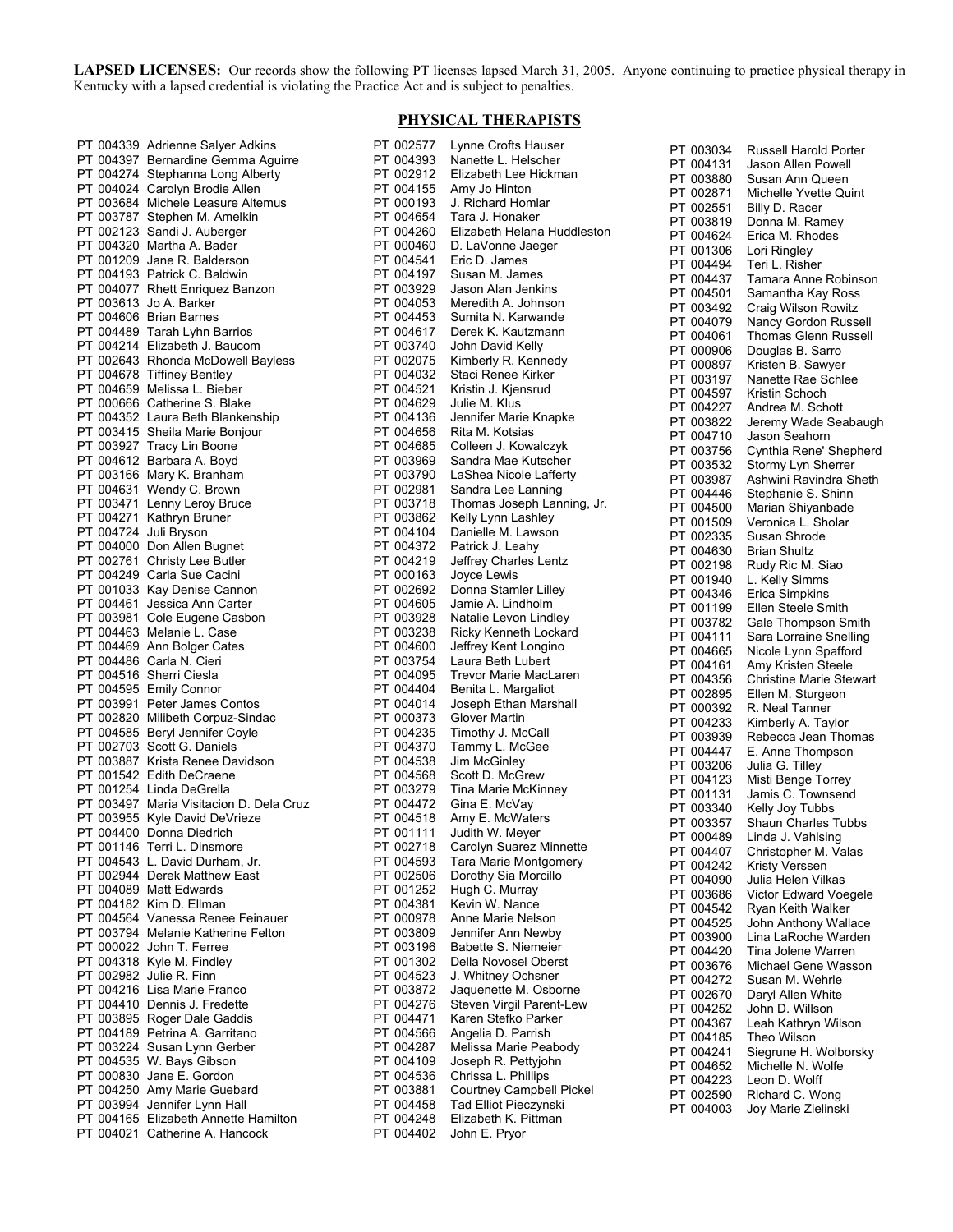LAPSED LICENSES: Our records show the following PT licenses lapsed March 31, 2005. Anyone continuing to practice physical therapy in Kentucky with a lapsed credential is violating the Practice Act and is subject to penalties.

#### PT 004187 Eugene D. Hashley **PHYSICAL THERAPISTS**

PT 002577 Lynne Crofts Hauser

| PT 004339              | <b>Adrienne Salyer Adkins</b>                      |
|------------------------|----------------------------------------------------|
|                        |                                                    |
| PT 004397              | Bernardine Gemma Aguirre                           |
| PT 004274              | Stephanna Long Alberty                             |
| PT 004024              | Carolyn Brodie Allen                               |
|                        |                                                    |
| PT 003684              | Michele Leasure Altemus                            |
| PT 003787              | Stephen M. Amelkin                                 |
| PT 002123              | Sandi J. Auberger                                  |
|                        |                                                    |
| PT 004320              | Martha A. Bader                                    |
| PT 001209              | Jane R. Balderson                                  |
|                        |                                                    |
| PT 004193              | Patrick C. Baldwin                                 |
| PT 004077              | <b>Rhett Enriquez Banzon</b>                       |
| PT 003613              |                                                    |
|                        | Jo A. Barker                                       |
| PT 004606              | <b>Brian Barnes</b>                                |
| PT 004489              | <b>Tarah Lyhn Barrios</b>                          |
|                        |                                                    |
| PT 004214              | Elizabeth J. Baucom                                |
| PT 002643              | Rhonda McDowell Bayless                            |
| PT 004678              | <b>Tiffiney Bentley</b>                            |
|                        |                                                    |
| PT 004659              | Melissa L. Bieber                                  |
| PT 000666              | Catherine S. Blake                                 |
|                        |                                                    |
| PT 004352              | Laura Beth Blankenship                             |
| PT 003415              | Sheila Marie Bonjour                               |
| PT 003927              | <b>Tracy Lin Boone</b>                             |
|                        |                                                    |
| PT 004612              | Barbara A. Boyd                                    |
| PT 003166              | Mary K. Branham                                    |
| PT 004631              |                                                    |
|                        | Wendy C. Brown                                     |
| PT 003471              | Lenny Leroy Bruce                                  |
| PT 004271              | Kathryn Bruner                                     |
|                        |                                                    |
| PT 004724              | Juli Bryson                                        |
| PT 004000              | Don Allen Bugnet                                   |
|                        |                                                    |
| PT 002761              | Christy Lee Butler                                 |
| PT 004249              | Carla Sue Cacini                                   |
| PT 001033              | Kay Denise Cannon                                  |
|                        |                                                    |
| PT 004461              | Jessica Ann Carter                                 |
| PT 003981              | Cole Eugene Casbon                                 |
| PT 004463              | Melanie L. Case                                    |
|                        |                                                    |
| PT 004469              | Ann Bolger Cates                                   |
| PT 004486              | Carla N. Cieri                                     |
|                        |                                                    |
| PT 004516              | Sherri Ciesla                                      |
| PT 004595              | <b>Emily Connor</b>                                |
| PT 003991              | Peter James Contos                                 |
|                        |                                                    |
| PT 002820              | Milibeth Corpuz-Sindac                             |
| PT 004585              | Beryl Jennifer Coyle                               |
| PT 002703              | Scott G. Daniels                                   |
|                        |                                                    |
|                        |                                                    |
| PT 003887              | Krista Renee Davidson                              |
|                        |                                                    |
| PT 001542              | <b>Edith DeCraene</b>                              |
| PT 001254              | Linda DeGrella                                     |
| PT 003497              | Maria Visitacion D. Dela Cruz                      |
|                        |                                                    |
| PT 003955              | Kyle David DeVrieze                                |
| PT 004400              | Donna Diedrich                                     |
| PT 001146              | Terri L. Dinsmore                                  |
|                        |                                                    |
| PT 004543              | L. David Durham, Jr.                               |
| PT 002944              | Derek Matthew East                                 |
|                        |                                                    |
| PT 004089              | <b>Matt Edwards</b>                                |
| PT 004182              | Kim D. Ellman                                      |
| PT 004564              | Vanessa Renee Feinauer                             |
|                        |                                                    |
| PT 003794              | Melanie Katherine Felton                           |
| PT 000022              | John T. Ferree                                     |
|                        |                                                    |
| PT 004318              | Kyle M. Findley                                    |
| PT 002982              | Julie R. Finn                                      |
| PT 004216              | Lisa Marie Franco                                  |
|                        |                                                    |
| PT 004410              | Dennis J. Fredette                                 |
| PT 003895              | Roger Dale Gaddis                                  |
| PT 004189              | Petrina A. Garritano                               |
|                        |                                                    |
| PT 003224              | Susan Lynn Gerber                                  |
| PT 004535              | W. Bays Gibson                                     |
|                        |                                                    |
| PT 000830              | Jane E. Gordon                                     |
| PT 004250              | Amy Marie Guebard                                  |
| PT 003994              | Jennifer Lynn Hall                                 |
|                        |                                                    |
| PT 004165<br>PT 004021 | Elizabeth Annette Hamilton<br>Catherine A. Hancock |

| PT 004393              | Nanette L. Helscher                           |
|------------------------|-----------------------------------------------|
| PT 002912              | Elizabeth Lee Hickman                         |
| PT 004155              | Amy Jo Hinton                                 |
| PT 000193              | J. Richard Homlar                             |
| PT 004654              | Tara J. Honaker                               |
| PT 004260              | Elizabeth Helana Huddleston                   |
| PT 000460              | D. LaVonne Jaeger                             |
| PT 004541              | Eric D. James                                 |
| PT 004197              | Susan M. James                                |
| PT 003929              | Jason Alan Jenkins                            |
| PT 004053<br>PT 004453 | Meredith A. Johnson<br>Sumita N. Karwande     |
| PT 004617              | Derek K. Kautzmann                            |
| PT 003740              | John David Kelly                              |
| PT 002075              | Kimberly R. Kennedy                           |
| PT 004032              | Staci Renee Kirker                            |
| PT 004521              | Kristin J. Kjensrud                           |
| PT 004629              | Julie M. Klus                                 |
| PT 004136              | Jennifer Marie Knapke                         |
| PT 004656              | Rita M. Kotsias                               |
| PT 004685              | Colleen J. Kowalczyk                          |
| PT 003969              | Sandra Mae Kutscher                           |
| PT 003790              | LaShea Nicole Lafferty                        |
| PT 002981              | Sandra Lee Lanning                            |
| PT 003718              | Thomas Joseph Lanning, Jr.                    |
| PT 003862              | Kelly Lynn Lashley                            |
| PT 004104              | Danielle M. Lawson                            |
| PT 004372              | Patrick J. Leahy                              |
| PT 004219              | Jeffrey Charles Lentz                         |
| PT 000163              | Joyce Lewis                                   |
| PT 002692              | Donna Stamler Lilley                          |
| PT 004605              | Jamie A. Lindholm                             |
| PT 003928              | Natalie Levon Lindley                         |
| PT 003238              | Ricky Kenneth Lockard                         |
| PT 004600              | Jeffrey Kent Longino                          |
| PT 003754              | Laura Beth Lubert                             |
| PT 004095              | Trevor Marie MacLaren                         |
| PT 004404              | Benita L. Margaliot                           |
| PT 004014              | Joseph Ethan Marshall                         |
| PT 000373              | <b>Glover Martin</b>                          |
| PT 004235              | Timothy J. McCall                             |
| PT 004370              | Tammy L. McGee                                |
| PT 004538              | Jim McGinley                                  |
| PT 004568              | Scott D. McGrew                               |
| PT 003279              | Tina Marie McKinney                           |
| PT 004472              | Gina E. McVay                                 |
| PT 004518              | Amy E. McWaters                               |
| PT 001111<br>PT 002718 | Judith W. Meyer<br>Carolyn Suarez Minnette    |
| PT 004593              |                                               |
| PT 002506              | Tara Marie Montgomery<br>Dorothy Sia Morcillo |
| PT 001252              | Hugh C. Murray                                |
| PT 004381              | Kevin W. Nance                                |
| PT 000978              | Anne Marie Nelson                             |
| PT 003809              | Jennifer Ann Newby                            |
| PT 003196              | Babette S. Niemeier                           |
| PT 001302              | Della Novosel Oberst                          |
| PT 004523              | J. Whitney Ochsner                            |
| PT 003872              | Jaquenette M. Osborne                         |
| PT 004276              | Steven Virgil Parent-Lew                      |
| PT 004471              | Karen Stefko Parker                           |
| PT 004566              | Angelia D. Parrish                            |
| PT 004287              | Melissa Marie Peabody                         |
| PT 004109              | Joseph R. Pettyjohn                           |
| PT 004536              | Chrissa L. Phillips                           |
| PT 003881              | Courtney Campbell Pickel                      |
| PT 004458              | Tad Elliot Pieczynski                         |
| PT 004248              | Elizabeth K. Pittman                          |
| PT 004402              | John E. Pryor                                 |

| PT | 003034    | Russell Harold Porter          |
|----|-----------|--------------------------------|
| PT | 004131    | Jason Allen Powell             |
| PT | 003880    | Susan Ann Queen                |
|    |           |                                |
| PT | 002871    | Michelle Yvette Quint          |
| PT | 002551    | Billy D. Racer                 |
| PT | 003819    | Donna M. Ramey                 |
|    |           |                                |
| PT | 004624    | Erica M. Rhodes                |
| PT | 001306    | Lori Ringley                   |
| РT | 004494    | Teri L. Risher                 |
|    |           |                                |
| PT | 004437    | Tamara Anne Robinson           |
| PT | 004501    | Samantha Kay Ross              |
| PT | 003492    | Craig Wilson Rowitz            |
| PT | 004079    | Nancy Gordon Russell           |
|    |           |                                |
| PT | 004061    | Thomas Glenn Russell           |
| PT | 000906    | Douglas B. Sarro               |
| PT | 000897    | Kristen B. Sawyer              |
|    |           |                                |
| PT | 003197    | Nanette Rae Schlee             |
| PT | 004597    | Kristin Schoch                 |
| PT | 004227    | Andrea M. Schott               |
|    |           |                                |
| PT | 003822    | Jeremy Wade Seabaugh           |
| PT | 004710    | Jason Seahorn                  |
| РT | 003756    | Cynthia Rene' Shepherd         |
| PT | 003532    | Stormy Lyn Sherrer             |
|    |           |                                |
| РT | 003987    | Ashwini Ravindra Sheth         |
| PT | 004446    | Stephanie S. Shinn             |
| PT | 004500    | Marian Shiyanbade              |
|    |           |                                |
| PT | 001509    | Veronica L. Sholar             |
| PT | 002335    | Susan Shrode                   |
| PT | 004630    | Brian Shultz                   |
| PT | 002198    |                                |
|    |           | Rudy Ric M. Siao               |
| PT | 001940    | L. Kelly Simms                 |
| PT | 004346    | Erica Simpkins                 |
| PT | 001199    | Ellen Steele Smith             |
|    |           |                                |
| PT | 003782    | Gale Thompson Smith            |
| PT | 004111    | Sara Lorraine Snelling         |
| PT | 004665    | Nicole Lynn Spafford           |
| PT | 004161    | Amy Kristen Steele             |
|    |           |                                |
| PT | 004356    | <b>Christine Marie Stewart</b> |
| РT | 002895    | Ellen M. Sturgeon              |
| PT | 000392    | R. Neal Tanner                 |
| PT |           |                                |
|    | 004233    | Kimberly A. Taylor             |
| PT | 003939    | Rebecca Jean Thomas            |
| PT | 004447    | E. Anne Thompson               |
| PT | 003206    | Julia G. Tilley                |
|    |           |                                |
| PT | 004123    | Misti Benge Torrey             |
| PT | 001131    | Jamis C. Townsend              |
| PT | 003340    | Kelly Joy Tubbs                |
| PT | 003357    | <b>Shaun Charles Tubbs</b>     |
|    |           |                                |
|    | PT 000489 | Linda J. Vahlsing              |
| PT | 004407    | Christopher M. Valas           |
| PT | 004242    | Kristy Verssen                 |
| PT | 004090    | Julia Helen Vilkas             |
|    |           |                                |
|    | PT 003686 | Victor Edward Voegele          |
| PT | 004542    | Ryan Keith Walker              |
|    | PT 004525 | John Anthony Wallace           |
|    |           | Lina LaRoche Warden            |
| PT | 003900    |                                |
| PT | 004420    | Tina Jolene Warren             |
| PT | 003676    | Michael Gene Wasson            |
| PT | 004272    | Susan M. Wehrle                |
|    |           |                                |
| PT | 002670    | Daryl Allen White              |
| PT | 004252    | John D. Willson                |
|    | PT 004367 | Leah Kathryn Wilson            |
| PT | 004185    | Theo Wilson                    |
|    |           |                                |
|    | PT 004241 | Siegrune H. Wolborsky          |
| PT | 004652    | Michelle N. Wolfe              |
|    | PT 004223 | Leon D. Wolff                  |
|    |           |                                |
| PT | 002590    | Richard C. Wong                |
|    | PT 004003 | Joy Marie Zielinski            |
|    |           |                                |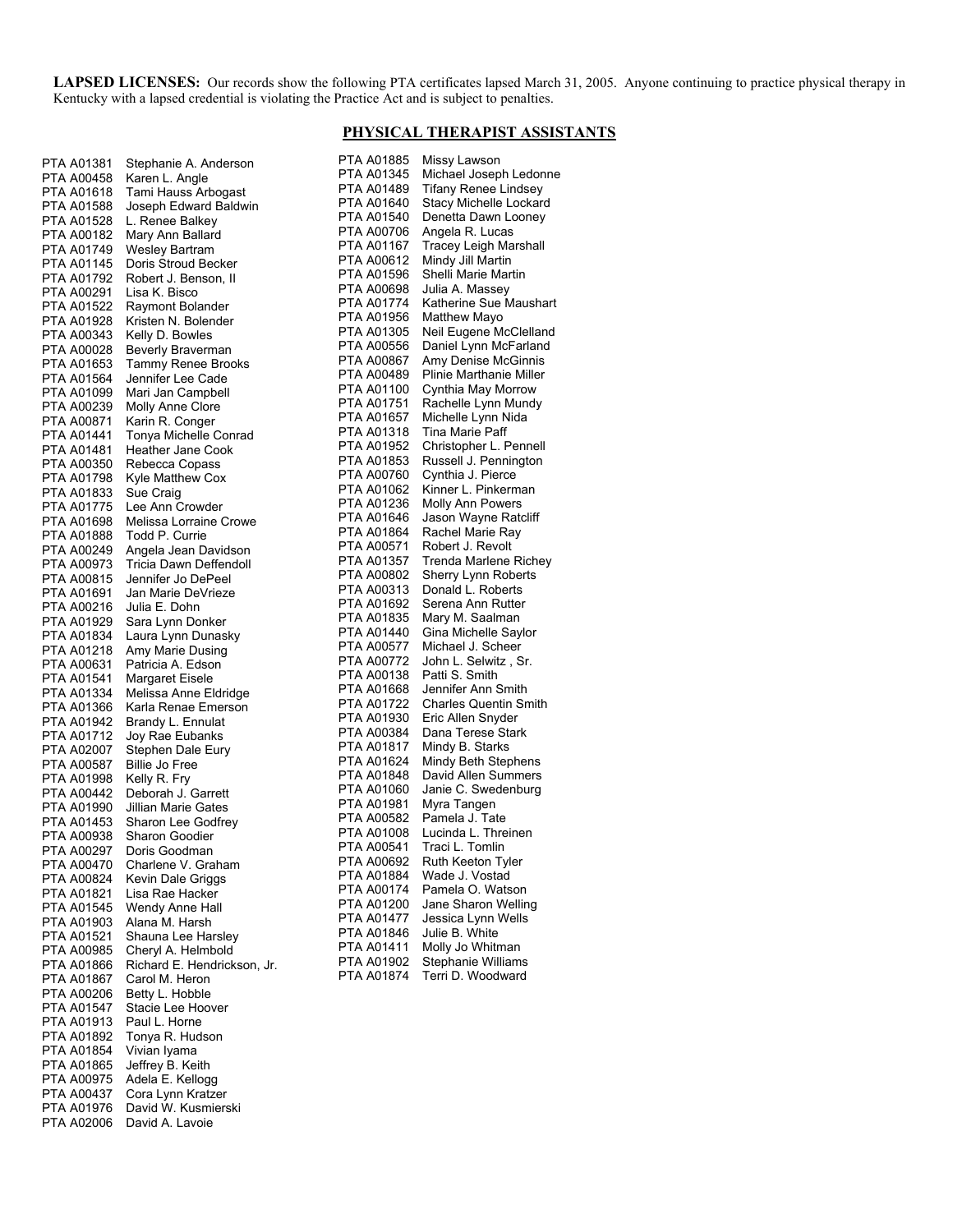**LAPSED LICENSES:** Our records show the following PTA certificates lapsed March 31, 2005. Anyone continuing to practice physical therapy in Kentucky with a lapsed credential is violating the Practice Act and is subject to penalties.

#### **PHYSICAL THERAPIST ASSISTANTS**

PTA A01885 Missy Lawson

| PTA A01381               | Stephanie A. Anderson                          |
|--------------------------|------------------------------------------------|
| PTA A00458               | Karen L. Angle                                 |
| PTA A01618               | Tami Hauss Arbogast                            |
| PTA A01588               | Joseph Edward Baldwin                          |
| PTA A01528<br>PTA A00182 | L. Renee Balkey<br>Mary Ann Ballard            |
| PTA A01749               | <b>Wesley Bartram</b>                          |
| PTA A01145               | Doris Stroud Becker                            |
| PTA A01792               | Robert J. Benson, II                           |
| PTA A00291               | Lisa K. Bisco                                  |
| PTA A01522               | Raymont Bolander                               |
| PTA A01928               | Kristen N. Bolender                            |
| PTA A00343               | Kelly D. Bowles                                |
| PTA A00028               | <b>Beverly Braverman</b>                       |
| PTA A01653               | Tammy Renee Brooks                             |
| PTA A01564               | Jennifer Lee Cade<br>Mari Jan Campbell         |
| PTA A01099<br>PTA A00239 | Molly Anne Clore                               |
| PTA A00871               | Karin R. Conger                                |
| PTA A01441               | Tonya Michelle Conrad                          |
| PTA A01481               | <b>Heather Jane Cook</b>                       |
| PTA A00350               | Rebecca Copass                                 |
| PTA A01798               | Kyle Matthew Cox                               |
| PTA A01833               | Sue Craig                                      |
| PTA A01775               | Lee Ann Crowder                                |
| PTA A01698               | Melissa Lorraine Crowe                         |
| PTA A01888               | Todd P. Currie                                 |
| PTA A00249               | Angela Jean Davidson<br>Tricia Dawn Deffendoll |
| PTA A00973<br>PTA A00815 | Jennifer Jo DePeel                             |
| PTA A01691               | Jan Marie DeVrieze                             |
| PTA A00216               | Julia E. Dohn                                  |
| PTA A01929               | Sara Lynn Donker                               |
| PTA A01834               | Laura Lynn Dunasky                             |
| PTA A01218               | Amy Marie Dusing                               |
| PTA A00631               | Patricia A. Edson                              |
| PTA A01541               | <b>Margaret Eisele</b>                         |
| PTA A01334               | Melissa Anne Eldridge                          |
| PTA A01366<br>PTA A01942 | Karla Renae Emerson<br>Brandy L. Ennulat       |
| PTA A01712               | Joy Rae Eubanks                                |
| PTA A02007               | Stephen Dale Eury                              |
| PTA A00587               | Billie Jo Free                                 |
| PTA A01998               | Kelly R. Fry                                   |
| PTA A00442               | Deborah J. Garrett                             |
| PTA A01990               | Jillian Marie Gates                            |
| PTA A01453               | Sharon Lee Godfrey                             |
| PTA A00938               | Sharon Goodier                                 |
| PTA A00297               | Doris Goodman<br>Charlene V. Graham            |
| PTA A00470<br>PTA A00824 | Kevin Dale Griggs                              |
| PTA A01821               | Lisa Rae Hacker                                |
| PTA A01545               | Wendy Anne Hall                                |
| PTA A01903               | Alana M. Harsh                                 |
| PTA A01521               | Shauna Lee Harsley                             |
| PTA A00985               | Cheryl A. Helmbold                             |
| PTA A01866               | Richard E. Hendrickson, Jr.                    |
| PTA A01867               | Carol M. Heron                                 |
| PTA A00206               | Betty L. Hobble                                |
| PTA A01547               | Stacie Lee Hoover<br>Paul L. Horne             |
| PTA A01913<br>PTA A01892 | Tonya R. Hudson                                |
| PTA A01854               | Vivian Iyama                                   |
| PTA A01865               | Jeffrey B. Keith                               |
| PTA A00975               | Adela E. Kellogg                               |
| PTA A00437               | Cora Lynn Kratzer                              |
| PTA A01976               | David W. Kusmierski                            |
| PTA A02006               | David A. Lavoie                                |

| PTA A01345                      | Michael Joseph Ledonne                 |
|---------------------------------|----------------------------------------|
| PTA A01489                      | <b>Tifany Renee Lindsey</b>            |
| PTA A01640                      | Stacy Michelle Lockard                 |
| PTA A01540                      | Denetta Dawn Looney                    |
| PTA A00706                      | Angela R. Lucas                        |
| PTA A01167                      | <b>Tracey Leigh Marshall</b>           |
| PTA A00612                      | Mindy Jill Martin                      |
| PTA A01596                      | Shelli Marie Martin                    |
| PTA A00698                      | Julia A. Massey                        |
| PTA A01774                      | Katherine Sue Maushart                 |
| PTA A01956                      | Matthew Mayo                           |
| PTA A01305                      | Neil Eugene McClelland                 |
| PTA A00556                      | Daniel Lynn McFarland                  |
| PTA A00867                      | Amy Denise McGinnis                    |
| PTA A00489                      | <b>Plinie Marthanie Miller</b>         |
| PTA A01100                      | Cynthia May Morrow                     |
| PTA A01751                      | Rachelle Lynn Mundy                    |
| PTA A01657                      | Michelle Lynn Nida                     |
| PTA A01318                      | Tina Marie Paff                        |
| PTA A01952                      | Christopher L. Pennell                 |
| PTA A01853                      | Russell J. Pennington                  |
| PTA A00760                      | Cynthia J. Pierce                      |
| PTA A01062                      | Kinner L. Pinkerman                    |
| PTA A01236                      | <b>Molly Ann Powers</b>                |
| PTA A01646                      | Jason Wayne Ratcliff                   |
| PTA A01864                      | Rachel Marie Ray                       |
| PTA A00571                      | Robert J. Revolt                       |
| PTA A01357                      | Trenda Marlene Richey                  |
| PTA A00802                      | Sherry Lynn Roberts                    |
| PTA A00313                      | Donald L. Roberts                      |
| PTA A01692                      | Serena Ann Rutter                      |
| PTA A01835                      | Mary M. Saalman                        |
| PTA A01440                      | Gina Michelle Saylor                   |
| PTA A00577                      | Michael J. Scheer                      |
| PTA A00772                      | John L. Selwitz, Sr.                   |
| PTA A00138                      | Patti S. Smith                         |
| PTA A01668                      | Jennifer Ann Smith                     |
| PTA A01722                      | <b>Charles Quentin Smith</b>           |
| PTA A01930                      | Eric Allen Snyder                      |
| PTA A00384                      | Dana Terese Stark                      |
| PTA A01817                      | Mindy B. Starks                        |
| PTA A01624                      | Mindy Beth Stephens                    |
| PTA A01848                      | David Allen Summers                    |
| PTA A01060                      | Janie C. Swedenburg                    |
| PTA A01981                      | Myra Tangen                            |
| PTA A00582                      | Pamela J. Tate                         |
| PTA A01008                      | Lucinda L. Threinen<br>Traci L. Tomlin |
| PTA A00541<br><b>PTA A00692</b> | Ruth Keeton Tyler                      |
| PTA A01884                      | Wade J. Vostad                         |
| PTA A00174                      | Pamela O. Watson                       |
| PTA A01200                      | Jane Sharon Welling                    |
| PTA A01477                      | Jessica Lynn Wells                     |
| PTA A01846                      | Julie B. White                         |
| PTA A01411                      | Molly Jo Whitman                       |
| PTA A01902                      | Stephanie Williams                     |
| PTA A01874                      | Terri D. Woodward                      |
|                                 |                                        |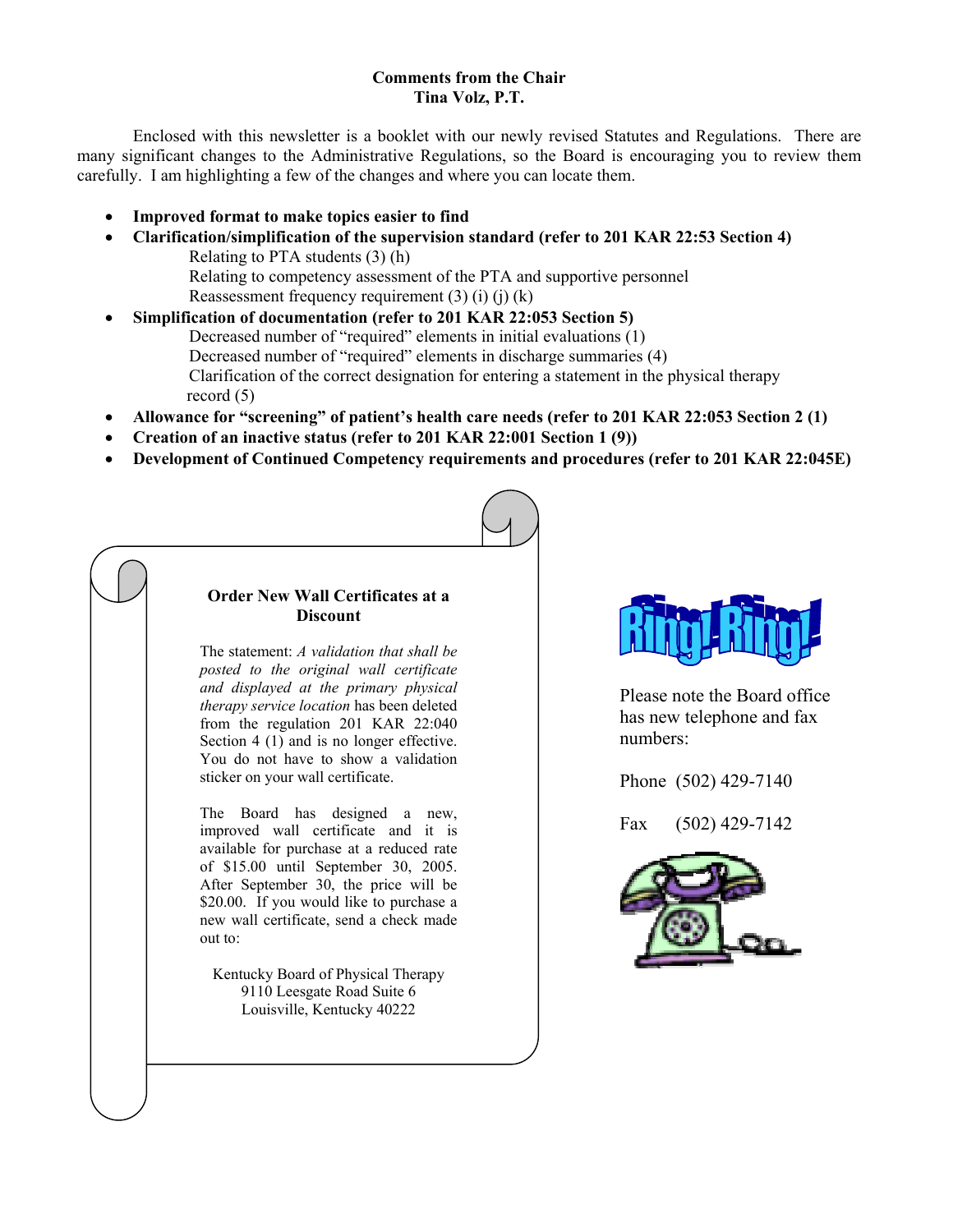#### **Comments from the Chair Tina Volz, P.T.**

 Enclosed with this newsletter is a booklet with our newly revised Statutes and Regulations. There are many significant changes to the Administrative Regulations, so the Board is encouraging you to review them carefully. I am highlighting a few of the changes and where you can locate them.

- **Improved format to make topics easier to find**
- **Clarification/simplification of the supervision standard (refer to 201 KAR 22:53 Section 4)** Relating to PTA students (3) (h) Relating to competency assessment of the PTA and supportive personnel Reassessment frequency requirement  $(3)$   $(i)$   $(j)$   $(k)$
- **Simplification of documentation (refer to 201 KAR 22:053 Section 5)** Decreased number of "required" elements in initial evaluations (1) Decreased number of "required" elements in discharge summaries (4) Clarification of the correct designation for entering a statement in the physical therapy record (5)
- **Allowance for "screening" of patient's health care needs (refer to 201 KAR 22:053 Section 2 (1)**
- **Creation of an inactive status (refer to 201 KAR 22:001 Section 1 (9))**
- **Development of Continued Competency requirements and procedures (refer to 201 KAR 22:045E)**

#### **Order New Wall Certificates at a Discount**

The statement: *A validation that shall be posted to the original wall certificate and displayed at the primary physical therapy service location* has been deleted from the regulation 201 KAR 22:040 Section 4 (1) and is no longer effective. You do not have to show a validation sticker on your wall certificate.

The Board has designed a new, improved wall certificate and it is available for purchase at a reduced rate of \$15.00 until September 30, 2005. After September 30, the price will be \$20.00. If you would like to purchase a new wall certificate, send a check made out to:

Kentucky Board of Physical Therapy 9110 Leesgate Road Suite 6 Louisville, Kentucky 40222



Please note the Board office has new telephone and fax numbers:

Phone (502) 429-7140

Fax (502) 429-7142

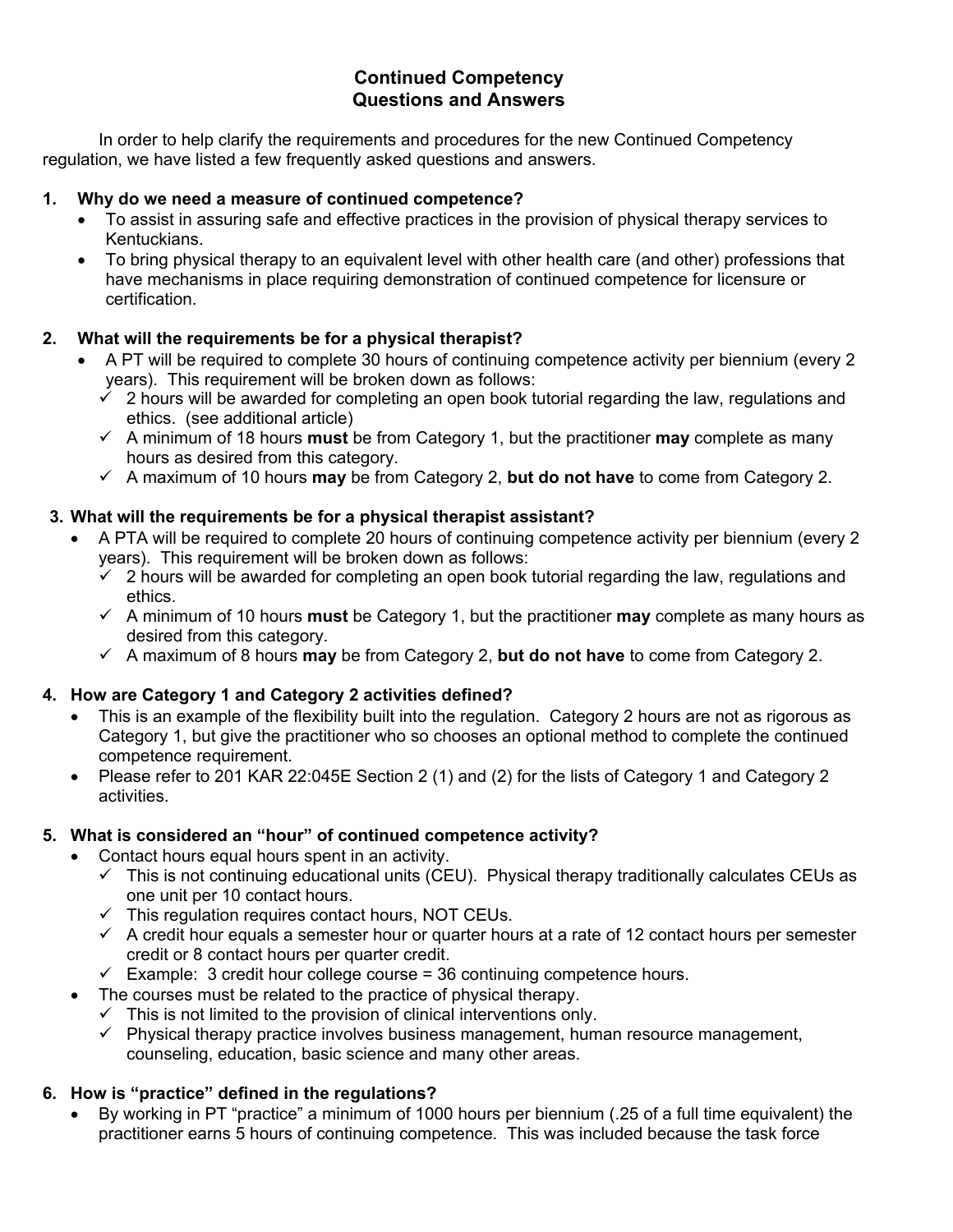# **Continued Competency Questions and Answers**

In order to help clarify the requirements and procedures for the new Continued Competency regulation, we have listed a few frequently asked questions and answers.

#### **1. Why do we need a measure of continued competence?**

- To assist in assuring safe and effective practices in the provision of physical therapy services to Kentuckians.
- To bring physical therapy to an equivalent level with other health care (and other) professions that have mechanisms in place requiring demonstration of continued competence for licensure or certification.

# **2. What will the requirements be for a physical therapist?**

- A PT will be required to complete 30 hours of continuing competence activity per biennium (every 2 years). This requirement will be broken down as follows:
	- $\checkmark$  2 hours will be awarded for completing an open book tutorial regarding the law, regulations and ethics. (see additional article)
	- $\checkmark$  A minimum of 18 hours **must** be from Category 1, but the practitioner **may** complete as many hours as desired from this category.
	- 9 A maximum of 10 hours **may** be from Category 2, **but do not have** to come from Category 2.

# **3. What will the requirements be for a physical therapist assistant?**

- A PTA will be required to complete 20 hours of continuing competence activity per biennium (every 2 years). This requirement will be broken down as follows:
	- $\checkmark$  2 hours will be awarded for completing an open book tutorial regarding the law, regulations and ethics.
	- 9 A minimum of 10 hours **must** be Category 1, but the practitioner **may** complete as many hours as desired from this category.
	- 9 A maximum of 8 hours **may** be from Category 2, **but do not have** to come from Category 2.

# **4. How are Category 1 and Category 2 activities defined?**

- This is an example of the flexibility built into the regulation. Category 2 hours are not as rigorous as Category 1, but give the practitioner who so chooses an optional method to complete the continued competence requirement.
- Please refer to 201 KAR 22:045E Section 2 (1) and (2) for the lists of Category 1 and Category 2 activities.

# **5. What is considered an "hour" of continued competence activity?**

- Contact hours equal hours spent in an activity.
	- $\checkmark$  This is not continuing educational units (CEU). Physical therapy traditionally calculates CEUs as one unit per 10 contact hours.
	- $\checkmark$  This regulation requires contact hours, NOT CEUs.
	- $\checkmark$  A credit hour equals a semester hour or quarter hours at a rate of 12 contact hours per semester credit or 8 contact hours per quarter credit.
	- $\checkmark$  Example: 3 credit hour college course = 36 continuing competence hours.
- The courses must be related to the practice of physical therapy.
	- $\checkmark$  This is not limited to the provision of clinical interventions only.
	- $\checkmark$  Physical therapy practice involves business management, human resource management, counseling, education, basic science and many other areas.

# **6. How is "practice" defined in the regulations?**

• By working in PT "practice" a minimum of 1000 hours per biennium (.25 of a full time equivalent) the practitioner earns 5 hours of continuing competence. This was included because the task force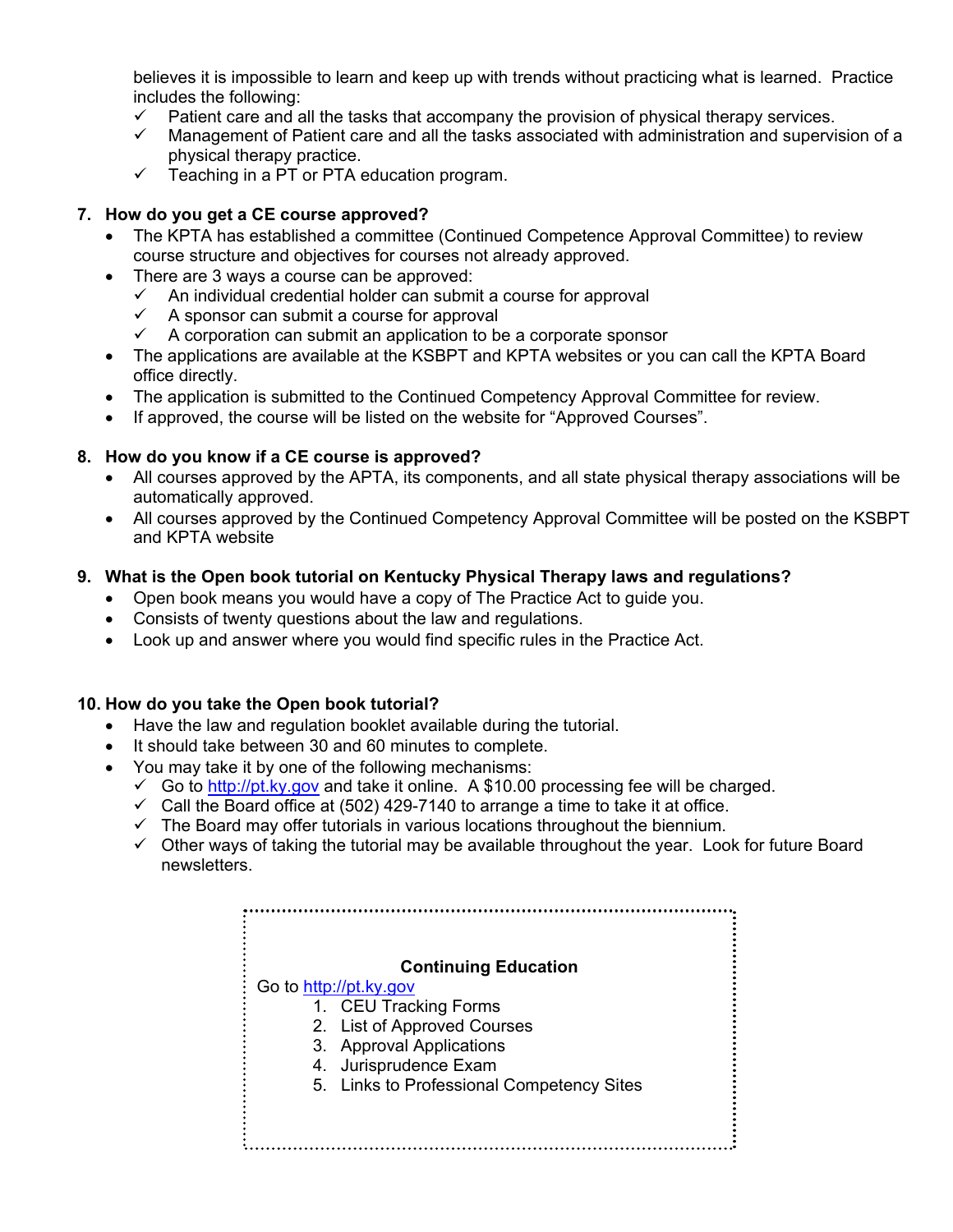believes it is impossible to learn and keep up with trends without practicing what is learned. Practice includes the following:

- $\checkmark$  Patient care and all the tasks that accompany the provision of physical therapy services.
- $\checkmark$  Management of Patient care and all the tasks associated with administration and supervision of a physical therapy practice.
- $\checkmark$  Teaching in a PT or PTA education program.

# **7. How do you get a CE course approved?**

- The KPTA has established a committee (Continued Competence Approval Committee) to review course structure and objectives for courses not already approved.
- There are 3 ways a course can be approved:
	- $\checkmark$  An individual credential holder can submit a course for approval
	- $\checkmark$  A sponsor can submit a course for approval
	- $\checkmark$  A corporation can submit an application to be a corporate sponsor
- The applications are available at the KSBPT and KPTA websites or you can call the KPTA Board office directly.
- The application is submitted to the Continued Competency Approval Committee for review.
- If approved, the course will be listed on the website for "Approved Courses".

# **8. How do you know if a CE course is approved?**

- All courses approved by the APTA, its components, and all state physical therapy associations will be automatically approved.
- All courses approved by the Continued Competency Approval Committee will be posted on the KSBPT and KPTA website

# **9. What is the Open book tutorial on Kentucky Physical Therapy laws and regulations?**

- Open book means you would have a copy of The Practice Act to guide you.
- Consists of twenty questions about the law and regulations.
- Look up and answer where you would find specific rules in the Practice Act.

# **10. How do you take the Open book tutorial?**

- Have the law and regulation booklet available during the tutorial.
- It should take between 30 and 60 minutes to complete.
- You may take it by one of the following mechanisms:
	- $\checkmark$  Go to http://pt.ky.gov and take it online. A \$10.00 processing fee will be charged.
	- $\checkmark$  Call the Board office at (502) 429-7140 to arrange a time to take it at office.
	- $\checkmark$  The Board may offer tutorials in various locations throughout the biennium.
	- $\checkmark$  Other ways of taking the tutorial may be available throughout the year. Look for future Board newsletters.